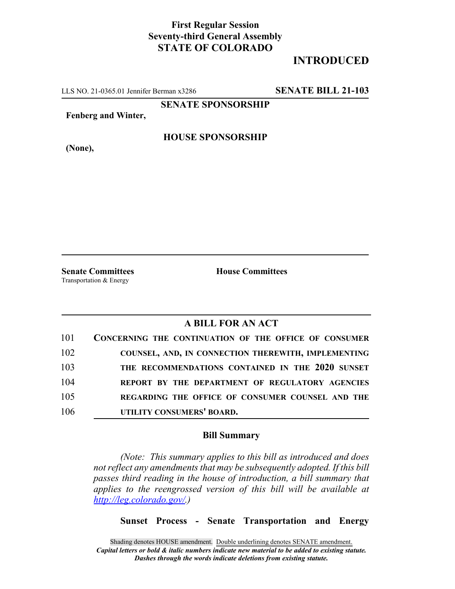## **First Regular Session Seventy-third General Assembly STATE OF COLORADO**

## **INTRODUCED**

LLS NO. 21-0365.01 Jennifer Berman x3286 **SENATE BILL 21-103**

**SENATE SPONSORSHIP**

**Fenberg and Winter,**

**(None),**

**HOUSE SPONSORSHIP**

**Senate Committees House Committees** Transportation & Energy

### **A BILL FOR AN ACT**

| 101 | CONCERNING THE CONTINUATION OF THE OFFICE OF CONSUMER |
|-----|-------------------------------------------------------|
| 102 | COUNSEL, AND, IN CONNECTION THEREWITH, IMPLEMENTING   |
| 103 | THE RECOMMENDATIONS CONTAINED IN THE 2020 SUNSET      |
| 104 | REPORT BY THE DEPARTMENT OF REGULATORY AGENCIES       |
| 105 | REGARDING THE OFFICE OF CONSUMER COUNSEL AND THE      |
| 106 | UTILITY CONSUMERS' BOARD.                             |

#### **Bill Summary**

*(Note: This summary applies to this bill as introduced and does not reflect any amendments that may be subsequently adopted. If this bill passes third reading in the house of introduction, a bill summary that applies to the reengrossed version of this bill will be available at http://leg.colorado.gov/.)*

**Sunset Process - Senate Transportation and Energy**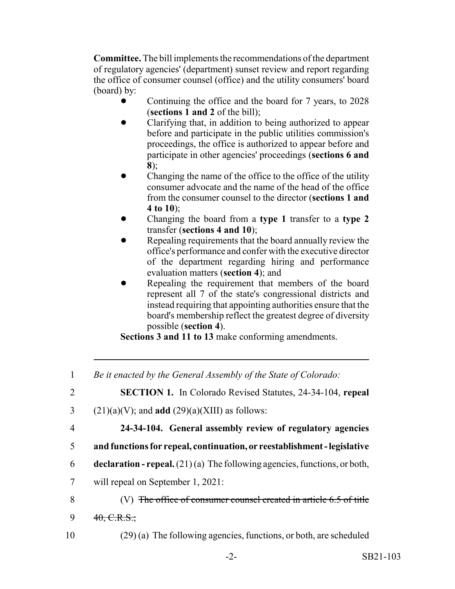**Committee.** The bill implements the recommendations of the department of regulatory agencies' (department) sunset review and report regarding the office of consumer counsel (office) and the utility consumers' board (board) by:

- ! Continuing the office and the board for 7 years, to 2028 (**sections 1 and 2** of the bill);
- ! Clarifying that, in addition to being authorized to appear before and participate in the public utilities commission's proceedings, the office is authorized to appear before and participate in other agencies' proceedings (**sections 6 and 8**);
- Changing the name of the office to the office of the utility consumer advocate and the name of the head of the office from the consumer counsel to the director (**sections 1 and 4 to 10**);
- ! Changing the board from a **type 1** transfer to a **type 2** transfer (**sections 4 and 10**);
- Repealing requirements that the board annually review the office's performance and confer with the executive director of the department regarding hiring and performance evaluation matters (**section 4**); and
- Repealing the requirement that members of the board represent all 7 of the state's congressional districts and instead requiring that appointing authorities ensure that the board's membership reflect the greatest degree of diversity possible (**section 4**).

**Sections 3 and 11 to 13** make conforming amendments.

| $\mathbf{1}$   | Be it enacted by the General Assembly of the State of Colorado:               |
|----------------|-------------------------------------------------------------------------------|
| $\overline{2}$ | <b>SECTION 1.</b> In Colorado Revised Statutes, 24-34-104, repeal             |
| 3              | $(21)(a)(V)$ ; and <b>add</b> $(29)(a)(XIII)$ as follows:                     |
| 4              | 24-34-104. General assembly review of regulatory agencies                     |
| 5              | and functions for repeal, continuation, or reestablishment - legislative      |
| 6              | declaration - repeal. $(21)(a)$ The following agencies, functions, or both,   |
| 7              | will repeal on September 1, 2021:                                             |
| 8              | (V) <del>The office of consumer counsel created in article 6.5 of title</del> |
| 9              | $40, C.R.S.$ ;                                                                |
| 10             | $(29)$ (a) The following agencies, functions, or both, are scheduled          |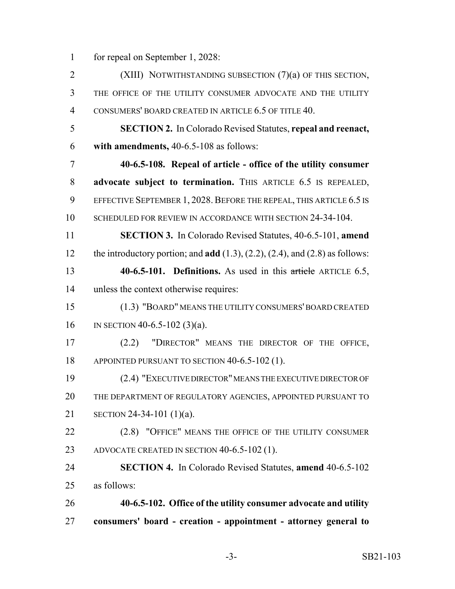for repeal on September 1, 2028:

 (XIII) NOTWITHSTANDING SUBSECTION (7)(a) OF THIS SECTION, THE OFFICE OF THE UTILITY CONSUMER ADVOCATE AND THE UTILITY CONSUMERS' BOARD CREATED IN ARTICLE 6.5 OF TITLE 40. **SECTION 2.** In Colorado Revised Statutes, **repeal and reenact, with amendments,** 40-6.5-108 as follows: **40-6.5-108. Repeal of article - office of the utility consumer advocate subject to termination.** THIS ARTICLE 6.5 IS REPEALED, 9 EFFECTIVE SEPTEMBER 1, 2028. BEFORE THE REPEAL, THIS ARTICLE 6.5 IS 10 SCHEDULED FOR REVIEW IN ACCORDANCE WITH SECTION 24-34-104. **SECTION 3.** In Colorado Revised Statutes, 40-6.5-101, **amend** the introductory portion; and **add** (1.3), (2.2), (2.4), and (2.8) as follows: **40-6.5-101. Definitions.** As used in this article ARTICLE 6.5, unless the context otherwise requires: (1.3) "BOARD" MEANS THE UTILITY CONSUMERS' BOARD CREATED IN SECTION 40-6.5-102 (3)(a). (2.2) "DIRECTOR" MEANS THE DIRECTOR OF THE OFFICE, 18 APPOINTED PURSUANT TO SECTION 40-6.5-102 (1). (2.4) "EXECUTIVE DIRECTOR" MEANS THE EXECUTIVE DIRECTOR OF THE DEPARTMENT OF REGULATORY AGENCIES, APPOINTED PURSUANT TO SECTION 24-34-101 (1)(a). 22 (2.8) "OFFICE" MEANS THE OFFICE OF THE UTILITY CONSUMER ADVOCATE CREATED IN SECTION 40-6.5-102 (1). **SECTION 4.** In Colorado Revised Statutes, **amend** 40-6.5-102 as follows: **40-6.5-102. Office of the utility consumer advocate and utility consumers' board - creation - appointment - attorney general to**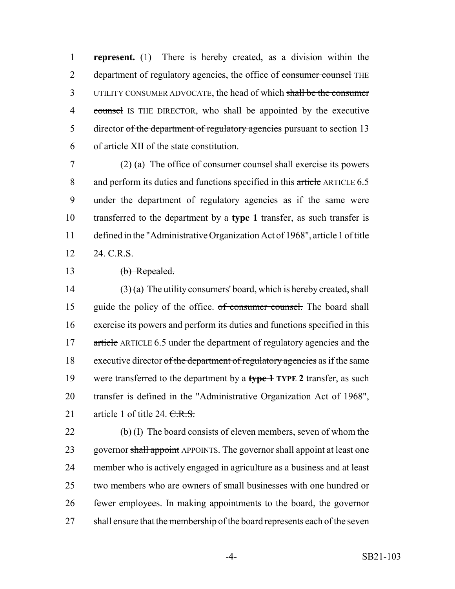1 **represent.** (1) There is hereby created, as a division within the 2 department of regulatory agencies, the office of consumer counsel THE 3 UTILITY CONSUMER ADVOCATE, the head of which shall be the consumer 4 counsel IS THE DIRECTOR, who shall be appointed by the executive 5 director of the department of regulatory agencies pursuant to section 13 6 of article XII of the state constitution.

7 (2)  $\left(\frac{a}{b}\right)$  The office of consumer counsel shall exercise its powers 8 and perform its duties and functions specified in this article ARTICLE 6.5 9 under the department of regulatory agencies as if the same were 10 transferred to the department by a **type 1** transfer, as such transfer is 11 defined in the "Administrative Organization Act of 1968", article 1 of title 12 24. C.R.S.

13 (b) Repealed.

14 (3) (a) The utility consumers' board, which is hereby created, shall 15 guide the policy of the office. of consumer counsel. The board shall 16 exercise its powers and perform its duties and functions specified in this 17 article ARTICLE 6.5 under the department of regulatory agencies and the 18 executive director of the department of regulatory agencies as if the same 19 were transferred to the department by a **type 1 TYPE 2** transfer, as such 20 transfer is defined in the "Administrative Organization Act of 1968", 21 article 1 of title 24. C.R.S.

 (b) (I) The board consists of eleven members, seven of whom the 23 governor shall appoint APPOINTS. The governor shall appoint at least one member who is actively engaged in agriculture as a business and at least two members who are owners of small businesses with one hundred or fewer employees. In making appointments to the board, the governor 27 shall ensure that the membership of the board represents each of the seven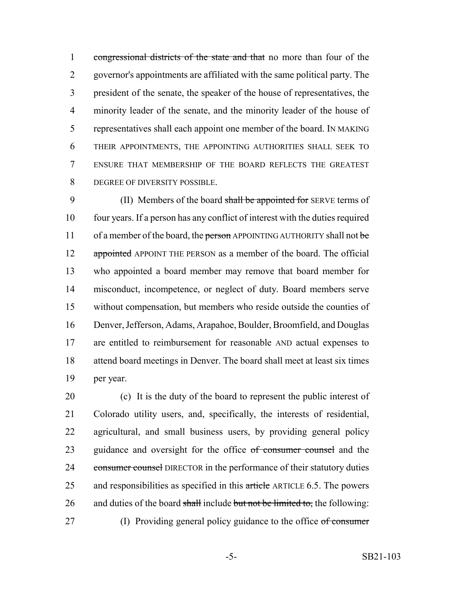1 congressional districts of the state and that no more than four of the governor's appointments are affiliated with the same political party. The president of the senate, the speaker of the house of representatives, the minority leader of the senate, and the minority leader of the house of representatives shall each appoint one member of the board. IN MAKING THEIR APPOINTMENTS, THE APPOINTING AUTHORITIES SHALL SEEK TO ENSURE THAT MEMBERSHIP OF THE BOARD REFLECTS THE GREATEST DEGREE OF DIVERSITY POSSIBLE.

9 (II) Members of the board shall be appointed for SERVE terms of four years. If a person has any conflict of interest with the duties required 11 of a member of the board, the person APPOINTING AUTHORITY shall not be 12 appointed APPOINT THE PERSON as a member of the board. The official who appointed a board member may remove that board member for misconduct, incompetence, or neglect of duty. Board members serve without compensation, but members who reside outside the counties of Denver, Jefferson, Adams, Arapahoe, Boulder, Broomfield, and Douglas are entitled to reimbursement for reasonable AND actual expenses to attend board meetings in Denver. The board shall meet at least six times per year.

 (c) It is the duty of the board to represent the public interest of Colorado utility users, and, specifically, the interests of residential, agricultural, and small business users, by providing general policy 23 guidance and oversight for the office of consumer counsel and the 24 consumer counsel DIRECTOR in the performance of their statutory duties 25 and responsibilities as specified in this article ARTICLE 6.5. The powers 26 and duties of the board shall include but not be limited to, the following: 27 (I) Providing general policy guidance to the office of consumer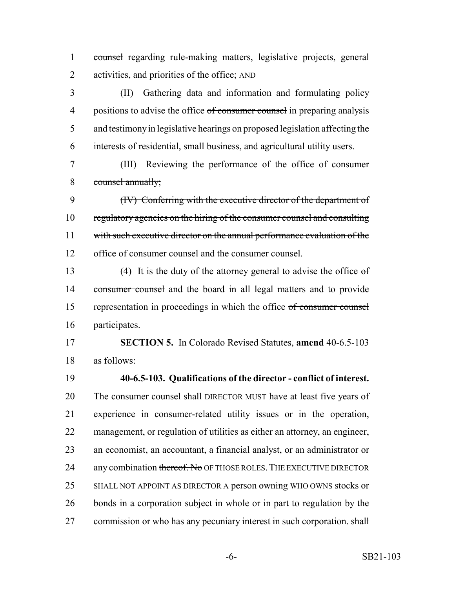counsel regarding rule-making matters, legislative projects, general activities, and priorities of the office; AND

 (II) Gathering data and information and formulating policy 4 positions to advise the office of consumer counsel in preparing analysis and testimony in legislative hearings on proposed legislation affecting the interests of residential, small business, and agricultural utility users.

 (III) Reviewing the performance of the office of consumer counsel annually;

 (IV) Conferring with the executive director of the department of regulatory agencies on the hiring of the consumer counsel and consulting 11 with such executive director on the annual performance evaluation of the 12 office of consumer counsel and the consumer counsel.

13 (4) It is the duty of the attorney general to advise the office  $\sigma f$ 14 consumer counsel and the board in all legal matters and to provide representation in proceedings in which the office of consumer counsel participates.

 **SECTION 5.** In Colorado Revised Statutes, **amend** 40-6.5-103 as follows:

 **40-6.5-103. Qualifications of the director - conflict of interest.** 20 The consumer counsel shall DIRECTOR MUST have at least five years of experience in consumer-related utility issues or in the operation, management, or regulation of utilities as either an attorney, an engineer, an economist, an accountant, a financial analyst, or an administrator or 24 any combination thereof. No OF THOSE ROLES. THE EXECUTIVE DIRECTOR 25 SHALL NOT APPOINT AS DIRECTOR A person owning WHO OWNS stocks or bonds in a corporation subject in whole or in part to regulation by the 27 commission or who has any pecuniary interest in such corporation. shall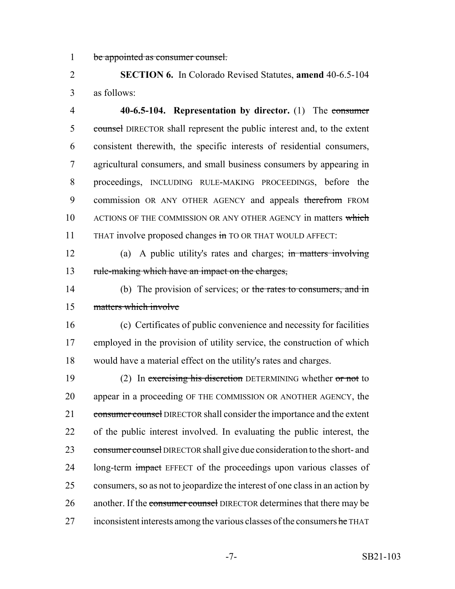1 be appointed as consumer counsel.

2 **SECTION 6.** In Colorado Revised Statutes, **amend** 40-6.5-104 3 as follows:

4 **40-6.5-104. Representation by director.** (1) The consumer 5 counsel DIRECTOR shall represent the public interest and, to the extent 6 consistent therewith, the specific interests of residential consumers, 7 agricultural consumers, and small business consumers by appearing in 8 proceedings, INCLUDING RULE-MAKING PROCEEDINGS, before the 9 commission OR ANY OTHER AGENCY and appeals therefrom FROM 10 ACTIONS OF THE COMMISSION OR ANY OTHER AGENCY in matters which 11 THAT involve proposed changes in TO OR THAT WOULD AFFECT:

12 (a) A public utility's rates and charges; in matters involving 13 rule-making which have an impact on the charges,

14 (b) The provision of services; or the rates to consumers, and in 15 matters which involve

16 (c) Certificates of public convenience and necessity for facilities 17 employed in the provision of utility service, the construction of which 18 would have a material effect on the utility's rates and charges.

19 (2) In exercising his discretion DETERMINING whether or not to 20 appear in a proceeding OF THE COMMISSION OR ANOTHER AGENCY, the 21 consumer counsel DIRECTOR shall consider the importance and the extent 22 of the public interest involved. In evaluating the public interest, the 23 consumer counsel DIRECTOR shall give due consideration to the short- and 24 long-term impact EFFECT of the proceedings upon various classes of 25 consumers, so as not to jeopardize the interest of one class in an action by 26 another. If the consumer counsel DIRECTOR determines that there may be 27 inconsistent interests among the various classes of the consumers he THAT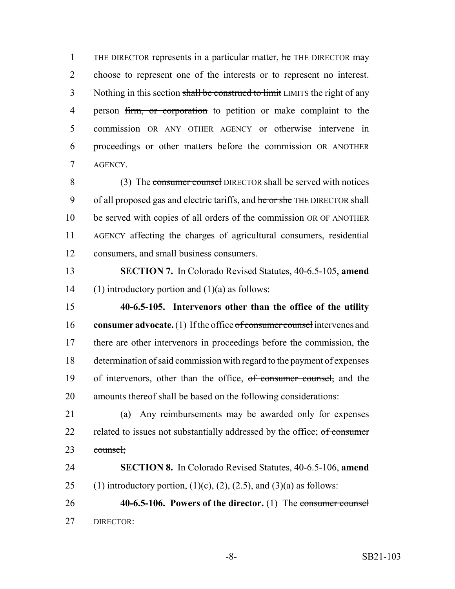1 THE DIRECTOR represents in a particular matter, he THE DIRECTOR may choose to represent one of the interests or to represent no interest. 3 Nothing in this section shall be construed to limit LIMITS the right of any 4 person firm, or corporation to petition or make complaint to the commission OR ANY OTHER AGENCY or otherwise intervene in proceedings or other matters before the commission OR ANOTHER AGENCY.

 (3) The consumer counsel DIRECTOR shall be served with notices 9 of all proposed gas and electric tariffs, and he or she THE DIRECTOR shall be served with copies of all orders of the commission OR OF ANOTHER AGENCY affecting the charges of agricultural consumers, residential consumers, and small business consumers.

 **SECTION 7.** In Colorado Revised Statutes, 40-6.5-105, **amend** 14 (1) introductory portion and  $(1)(a)$  as follows:

 **40-6.5-105. Intervenors other than the office of the utility consumer advocate.** (1) If the office of consumer counsel intervenes and there are other intervenors in proceedings before the commission, the determination of said commission with regard to the payment of expenses 19 of intervenors, other than the office, of consumer counsel, and the amounts thereof shall be based on the following considerations:

 (a) Any reimbursements may be awarded only for expenses 22 related to issues not substantially addressed by the office; of consumer counsel;

 **SECTION 8.** In Colorado Revised Statutes, 40-6.5-106, **amend** 25 (1) introductory portion,  $(1)(c)$ ,  $(2)$ ,  $(2.5)$ , and  $(3)(a)$  as follows:

 **40-6.5-106. Powers of the director.** (1) The consumer counsel DIRECTOR: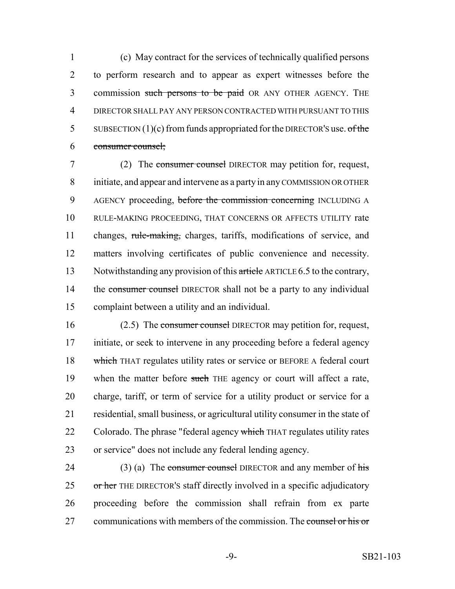(c) May contract for the services of technically qualified persons to perform research and to appear as expert witnesses before the 3 commission such persons to be paid OR ANY OTHER AGENCY. THE DIRECTOR SHALL PAY ANY PERSON CONTRACTED WITH PURSUANT TO THIS 5 SUBSECTION  $(1)(c)$  from funds appropriated for the DIRECTOR's use. of the consumer counsel;

7 (2) The consumer counsel DIRECTOR may petition for, request, 8 initiate, and appear and intervene as a party in any COMMISSION OR OTHER 9 AGENCY proceeding, before the commission concerning INCLUDING A 10 RULE-MAKING PROCEEDING, THAT CONCERNS OR AFFECTS UTILITY rate 11 changes, rule-making, charges, tariffs, modifications of service, and 12 matters involving certificates of public convenience and necessity. 13 Notwithstanding any provision of this article ARTICLE 6.5 to the contrary, 14 the consumer counsel DIRECTOR shall not be a party to any individual 15 complaint between a utility and an individual.

16 (2.5) The consumer counsel DIRECTOR may petition for, request, 17 initiate, or seek to intervene in any proceeding before a federal agency 18 which THAT regulates utility rates or service or BEFORE A federal court 19 when the matter before such THE agency or court will affect a rate, 20 charge, tariff, or term of service for a utility product or service for a 21 residential, small business, or agricultural utility consumer in the state of 22 Colorado. The phrase "federal agency which THAT regulates utility rates 23 or service" does not include any federal lending agency.

24 (3) (a) The consumer counsel DIRECTOR and any member of his 25 or her THE DIRECTOR's staff directly involved in a specific adjudicatory 26 proceeding before the commission shall refrain from ex parte 27 communications with members of the commission. The counsel or his or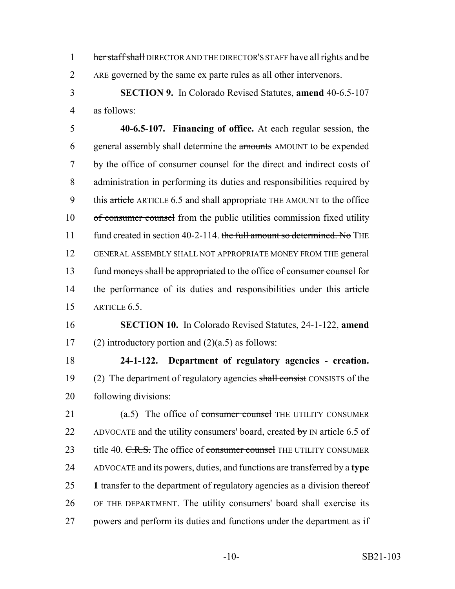1 her staff shall DIRECTOR AND THE DIRECTOR'S STAFF have all rights and be 2 ARE governed by the same ex parte rules as all other intervenors.

3 **SECTION 9.** In Colorado Revised Statutes, **amend** 40-6.5-107 4 as follows:

5 **40-6.5-107. Financing of office.** At each regular session, the 6 general assembly shall determine the amounts AMOUNT to be expended 7 by the office of consumer counsel for the direct and indirect costs of 8 administration in performing its duties and responsibilities required by 9 this article ARTICLE 6.5 and shall appropriate THE AMOUNT to the office 10 of consumer counsel from the public utilities commission fixed utility 11 fund created in section 40-2-114. the full amount so determined. No THE 12 GENERAL ASSEMBLY SHALL NOT APPROPRIATE MONEY FROM THE general 13 fund moneys shall be appropriated to the office of consumer counsel for 14 the performance of its duties and responsibilities under this article 15 ARTICLE 6.5.

# 16 **SECTION 10.** In Colorado Revised Statutes, 24-1-122, **amend** 17 (2) introductory portion and  $(2)(a.5)$  as follows:

18 **24-1-122. Department of regulatory agencies - creation.** 19 (2) The department of regulatory agencies shall consist CONSISTS of the 20 following divisions:

21 (a.5) The office of consumer counsel THE UTILITY CONSUMER 22 ADVOCATE and the utility consumers' board, created by IN article 6.5 of 23 title 40. C.R.S. The office of consumer counsel THE UTILITY CONSUMER 24 ADVOCATE and its powers, duties, and functions are transferred by a **type** 25 **1** transfer to the department of regulatory agencies as a division thereof 26 OF THE DEPARTMENT. The utility consumers' board shall exercise its 27 powers and perform its duties and functions under the department as if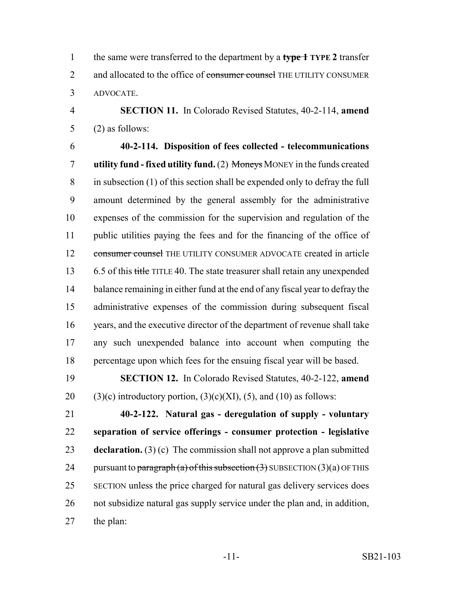the same were transferred to the department by a **type 1 TYPE 2** transfer 2 and allocated to the office of consumer counsel THE UTILITY CONSUMER ADVOCATE.

 **SECTION 11.** In Colorado Revised Statutes, 40-2-114, **amend** (2) as follows:

 **40-2-114. Disposition of fees collected - telecommunications utility fund - fixed utility fund.** (2) Moneys MONEY in the funds created in subsection (1) of this section shall be expended only to defray the full amount determined by the general assembly for the administrative expenses of the commission for the supervision and regulation of the public utilities paying the fees and for the financing of the office of consumer counsel THE UTILITY CONSUMER ADVOCATE created in article 13 6.5 of this title TITLE 40. The state treasurer shall retain any unexpended 14 balance remaining in either fund at the end of any fiscal year to defray the administrative expenses of the commission during subsequent fiscal years, and the executive director of the department of revenue shall take any such unexpended balance into account when computing the percentage upon which fees for the ensuing fiscal year will be based.

 **SECTION 12.** In Colorado Revised Statutes, 40-2-122, **amend** 20 (3)(c) introductory portion,  $(3)(c)(XI)$ ,  $(5)$ , and  $(10)$  as follows:

 **40-2-122. Natural gas - deregulation of supply - voluntary separation of service offerings - consumer protection - legislative declaration.** (3) (c) The commission shall not approve a plan submitted 24 pursuant to paragraph (a) of this subsection  $(3)$  SUBSECTION  $(3)(a)$  OF THIS SECTION unless the price charged for natural gas delivery services does not subsidize natural gas supply service under the plan and, in addition, the plan: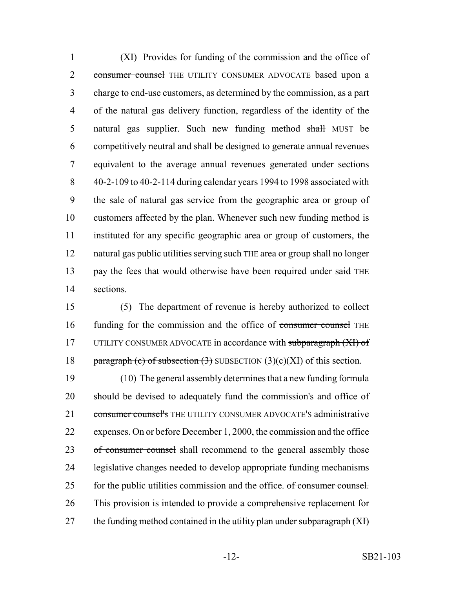(XI) Provides for funding of the commission and the office of 2 consumer counsel THE UTILITY CONSUMER ADVOCATE based upon a charge to end-use customers, as determined by the commission, as a part of the natural gas delivery function, regardless of the identity of the 5 natural gas supplier. Such new funding method shall MUST be competitively neutral and shall be designed to generate annual revenues equivalent to the average annual revenues generated under sections 40-2-109 to 40-2-114 during calendar years 1994 to 1998 associated with the sale of natural gas service from the geographic area or group of customers affected by the plan. Whenever such new funding method is instituted for any specific geographic area or group of customers, the 12 natural gas public utilities serving such THE area or group shall no longer 13 pay the fees that would otherwise have been required under said THE sections.

15 (5) The department of revenue is hereby authorized to collect 16 funding for the commission and the office of consumer counsel THE 17 UTILITY CONSUMER ADVOCATE in accordance with subparagraph (XI) of 18 paragraph (c) of subsection  $(3)$  SUBSECTION  $(3)(c)(XI)$  of this section.

19 (10) The general assembly determines that a new funding formula 20 should be devised to adequately fund the commission's and office of 21 consumer counsel's THE UTILITY CONSUMER ADVOCATE'S administrative 22 expenses. On or before December 1, 2000, the commission and the office 23 of consumer counsel shall recommend to the general assembly those 24 legislative changes needed to develop appropriate funding mechanisms 25 for the public utilities commission and the office. of consumer counsel. 26 This provision is intended to provide a comprehensive replacement for 27 the funding method contained in the utility plan under subparagraph  $(XI)$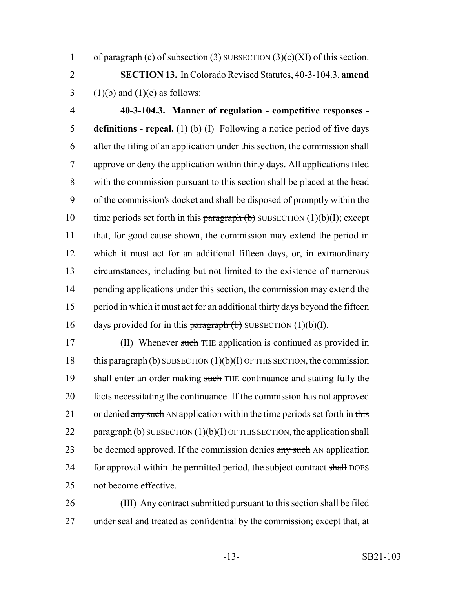1 of paragraph (c) of subsection  $(3)$  SUBSECTION  $(3)(c)(XI)$  of this section.

2 **SECTION 13.** In Colorado Revised Statutes, 40-3-104.3, **amend** 3 (1)(b) and (1)(e) as follows:

 **40-3-104.3. Manner of regulation - competitive responses - definitions - repeal.** (1) (b) (I) Following a notice period of five days after the filing of an application under this section, the commission shall approve or deny the application within thirty days. All applications filed with the commission pursuant to this section shall be placed at the head of the commission's docket and shall be disposed of promptly within the 10 time periods set forth in this paragraph  $(b)$  SUBSECTION  $(1)(b)(I)$ ; except that, for good cause shown, the commission may extend the period in which it must act for an additional fifteen days, or, in extraordinary 13 circumstances, including but not limited to the existence of numerous 14 pending applications under this section, the commission may extend the period in which it must act for an additional thirty days beyond the fifteen 16 days provided for in this paragraph  $(b)$  SUBSECTION  $(1)(b)(I)$ .

17 (II) Whenever such THE application is continued as provided in 18 this paragraph (b) SUBSECTION  $(1)(b)(I)$  OF THIS SECTION, the commission 19 shall enter an order making such THE continuance and stating fully the 20 facts necessitating the continuance. If the commission has not approved 21 or denied any such AN application within the time periods set forth in this 22  $\frac{1}{2}$  paragraph (b) SUBSECTION (1)(b)(I) OF THIS SECTION, the application shall 23 be deemed approved. If the commission denies any such AN application 24 for approval within the permitted period, the subject contract shall DOES 25 not become effective.

26 (III) Any contract submitted pursuant to this section shall be filed 27 under seal and treated as confidential by the commission; except that, at